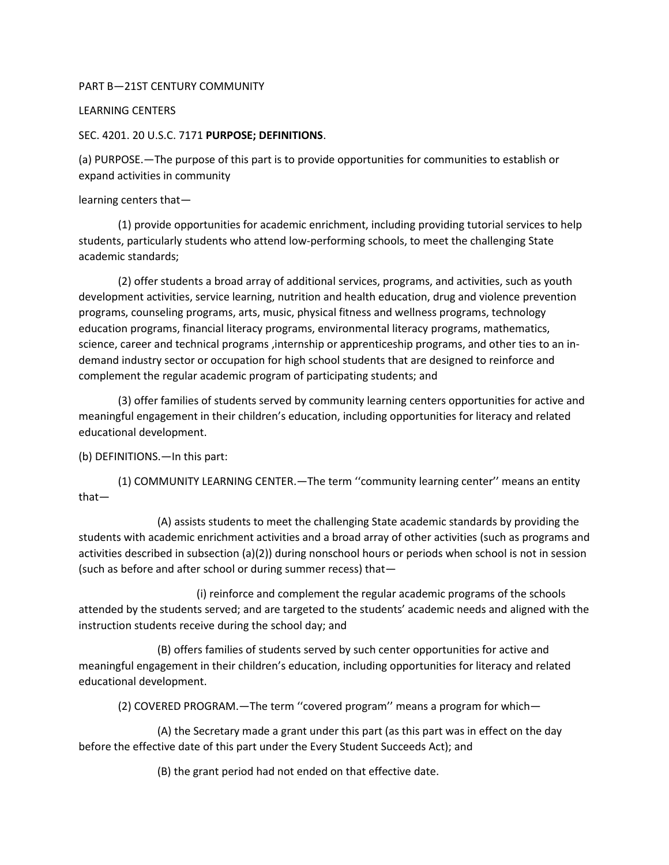## PART B—21ST CENTURY COMMUNITY

### LEARNING CENTERS

### SEC. 4201. 20 U.S.C. 7171 **PURPOSE; DEFINITIONS**.

(a) PURPOSE.—The purpose of this part is to provide opportunities for communities to establish or expand activities in community

learning centers that—

(1) provide opportunities for academic enrichment, including providing tutorial services to help students, particularly students who attend low-performing schools, to meet the challenging State academic standards;

(2) offer students a broad array of additional services, programs, and activities, such as youth development activities, service learning, nutrition and health education, drug and violence prevention programs, counseling programs, arts, music, physical fitness and wellness programs, technology education programs, financial literacy programs, environmental literacy programs, mathematics, science, career and technical programs ,internship or apprenticeship programs, and other ties to an indemand industry sector or occupation for high school students that are designed to reinforce and complement the regular academic program of participating students; and

(3) offer families of students served by community learning centers opportunities for active and meaningful engagement in their children's education, including opportunities for literacy and related educational development.

(b) DEFINITIONS.—In this part:

(1) COMMUNITY LEARNING CENTER.—The term ''community learning center'' means an entity that—

(A) assists students to meet the challenging State academic standards by providing the students with academic enrichment activities and a broad array of other activities (such as programs and activities described in subsection (a)(2)) during nonschool hours or periods when school is not in session (such as before and after school or during summer recess) that—

(i) reinforce and complement the regular academic programs of the schools attended by the students served; and are targeted to the students' academic needs and aligned with the instruction students receive during the school day; and

(B) offers families of students served by such center opportunities for active and meaningful engagement in their children's education, including opportunities for literacy and related educational development.

(2) COVERED PROGRAM.—The term ''covered program'' means a program for which—

(A) the Secretary made a grant under this part (as this part was in effect on the day before the effective date of this part under the Every Student Succeeds Act); and

(B) the grant period had not ended on that effective date.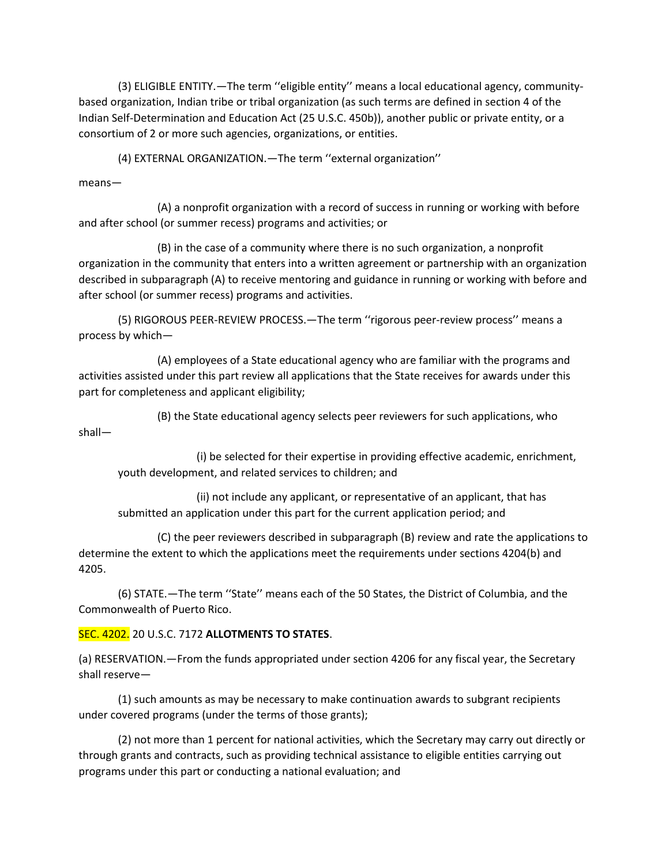(3) ELIGIBLE ENTITY.—The term ''eligible entity'' means a local educational agency, communitybased organization, Indian tribe or tribal organization (as such terms are defined in section 4 of the Indian Self-Determination and Education Act (25 U.S.C. 450b)), another public or private entity, or a consortium of 2 or more such agencies, organizations, or entities.

(4) EXTERNAL ORGANIZATION.—The term ''external organization''

means—

(A) a nonprofit organization with a record of success in running or working with before and after school (or summer recess) programs and activities; or

(B) in the case of a community where there is no such organization, a nonprofit organization in the community that enters into a written agreement or partnership with an organization described in subparagraph (A) to receive mentoring and guidance in running or working with before and after school (or summer recess) programs and activities.

(5) RIGOROUS PEER-REVIEW PROCESS.—The term ''rigorous peer-review process'' means a process by which—

(A) employees of a State educational agency who are familiar with the programs and activities assisted under this part review all applications that the State receives for awards under this part for completeness and applicant eligibility;

(B) the State educational agency selects peer reviewers for such applications, who shall—

(i) be selected for their expertise in providing effective academic, enrichment, youth development, and related services to children; and

(ii) not include any applicant, or representative of an applicant, that has submitted an application under this part for the current application period; and

(C) the peer reviewers described in subparagraph (B) review and rate the applications to determine the extent to which the applications meet the requirements under sections 4204(b) and 4205.

(6) STATE.—The term ''State'' means each of the 50 States, the District of Columbia, and the Commonwealth of Puerto Rico.

## SEC. 4202. 20 U.S.C. 7172 **ALLOTMENTS TO STATES**.

(a) RESERVATION.—From the funds appropriated under section 4206 for any fiscal year, the Secretary shall reserve—

(1) such amounts as may be necessary to make continuation awards to subgrant recipients under covered programs (under the terms of those grants);

(2) not more than 1 percent for national activities, which the Secretary may carry out directly or through grants and contracts, such as providing technical assistance to eligible entities carrying out programs under this part or conducting a national evaluation; and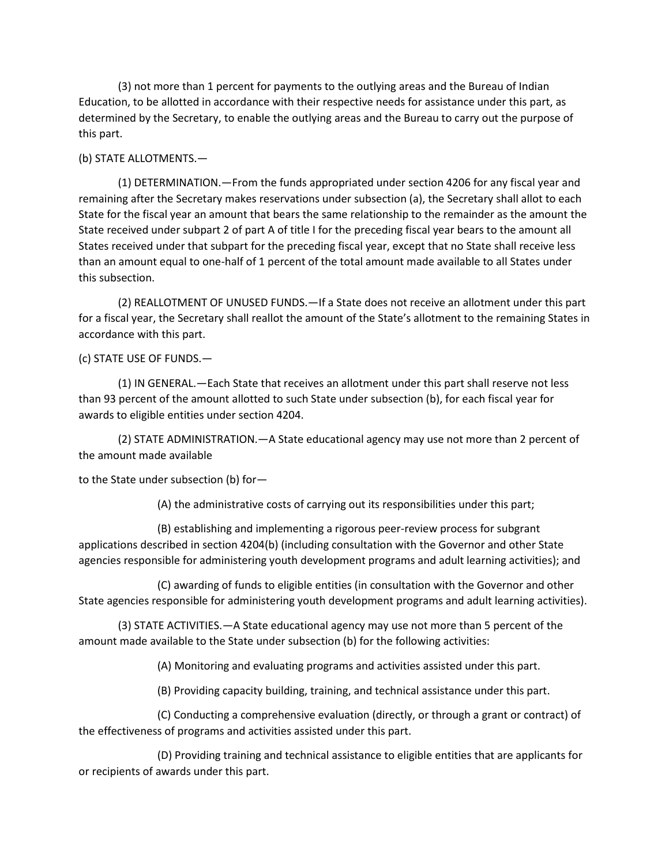(3) not more than 1 percent for payments to the outlying areas and the Bureau of Indian Education, to be allotted in accordance with their respective needs for assistance under this part, as determined by the Secretary, to enable the outlying areas and the Bureau to carry out the purpose of this part.

## (b) STATE ALLOTMENTS.—

(1) DETERMINATION.—From the funds appropriated under section 4206 for any fiscal year and remaining after the Secretary makes reservations under subsection (a), the Secretary shall allot to each State for the fiscal year an amount that bears the same relationship to the remainder as the amount the State received under subpart 2 of part A of title I for the preceding fiscal year bears to the amount all States received under that subpart for the preceding fiscal year, except that no State shall receive less than an amount equal to one-half of 1 percent of the total amount made available to all States under this subsection.

(2) REALLOTMENT OF UNUSED FUNDS.—If a State does not receive an allotment under this part for a fiscal year, the Secretary shall reallot the amount of the State's allotment to the remaining States in accordance with this part.

## (c) STATE USE OF FUNDS.—

(1) IN GENERAL.—Each State that receives an allotment under this part shall reserve not less than 93 percent of the amount allotted to such State under subsection (b), for each fiscal year for awards to eligible entities under section 4204.

(2) STATE ADMINISTRATION.—A State educational agency may use not more than 2 percent of the amount made available

to the State under subsection (b) for—

(A) the administrative costs of carrying out its responsibilities under this part;

(B) establishing and implementing a rigorous peer-review process for subgrant applications described in section 4204(b) (including consultation with the Governor and other State agencies responsible for administering youth development programs and adult learning activities); and

(C) awarding of funds to eligible entities (in consultation with the Governor and other State agencies responsible for administering youth development programs and adult learning activities).

(3) STATE ACTIVITIES.—A State educational agency may use not more than 5 percent of the amount made available to the State under subsection (b) for the following activities:

(A) Monitoring and evaluating programs and activities assisted under this part.

(B) Providing capacity building, training, and technical assistance under this part.

(C) Conducting a comprehensive evaluation (directly, or through a grant or contract) of the effectiveness of programs and activities assisted under this part.

(D) Providing training and technical assistance to eligible entities that are applicants for or recipients of awards under this part.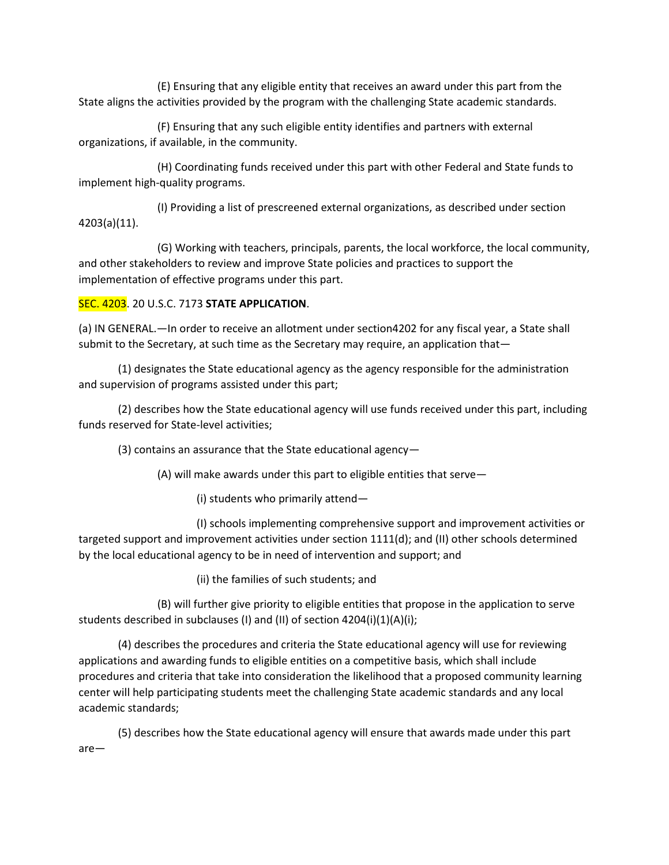(E) Ensuring that any eligible entity that receives an award under this part from the State aligns the activities provided by the program with the challenging State academic standards.

(F) Ensuring that any such eligible entity identifies and partners with external organizations, if available, in the community.

(H) Coordinating funds received under this part with other Federal and State funds to implement high-quality programs.

(I) Providing a list of prescreened external organizations, as described under section 4203(a)(11).

(G) Working with teachers, principals, parents, the local workforce, the local community, and other stakeholders to review and improve State policies and practices to support the implementation of effective programs under this part.

# SEC. 4203. 20 U.S.C. 7173 **STATE APPLICATION**.

(a) IN GENERAL.—In order to receive an allotment under section4202 for any fiscal year, a State shall submit to the Secretary, at such time as the Secretary may require, an application that—

(1) designates the State educational agency as the agency responsible for the administration and supervision of programs assisted under this part;

(2) describes how the State educational agency will use funds received under this part, including funds reserved for State-level activities;

(3) contains an assurance that the State educational agency—

(A) will make awards under this part to eligible entities that serve—

(i) students who primarily attend—

(I) schools implementing comprehensive support and improvement activities or targeted support and improvement activities under section 1111(d); and (II) other schools determined by the local educational agency to be in need of intervention and support; and

(ii) the families of such students; and

(B) will further give priority to eligible entities that propose in the application to serve students described in subclauses (I) and (II) of section 4204(i)(1)(A)(i);

(4) describes the procedures and criteria the State educational agency will use for reviewing applications and awarding funds to eligible entities on a competitive basis, which shall include procedures and criteria that take into consideration the likelihood that a proposed community learning center will help participating students meet the challenging State academic standards and any local academic standards;

(5) describes how the State educational agency will ensure that awards made under this part are—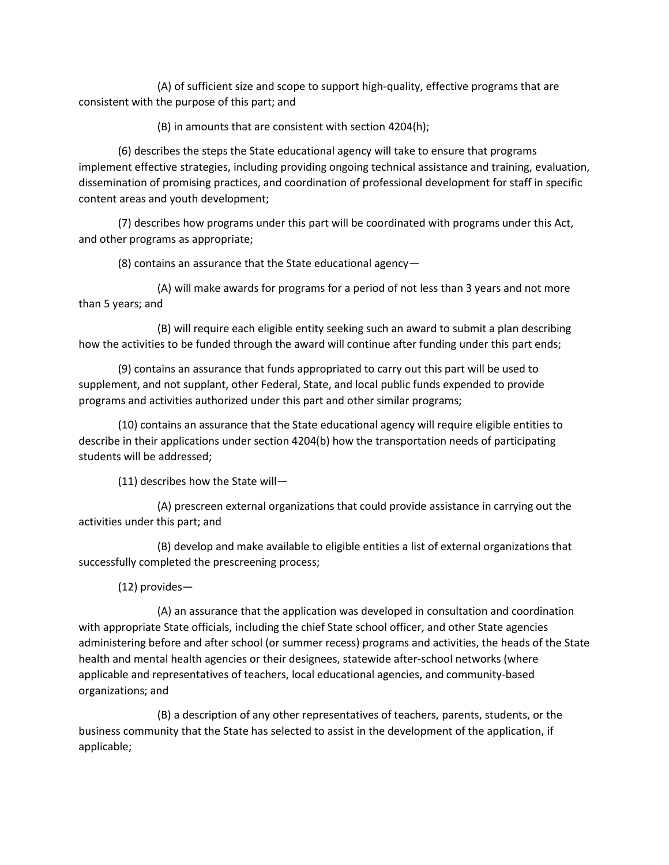(A) of sufficient size and scope to support high-quality, effective programs that are consistent with the purpose of this part; and

(B) in amounts that are consistent with section 4204(h);

(6) describes the steps the State educational agency will take to ensure that programs implement effective strategies, including providing ongoing technical assistance and training, evaluation, dissemination of promising practices, and coordination of professional development for staff in specific content areas and youth development;

(7) describes how programs under this part will be coordinated with programs under this Act, and other programs as appropriate;

(8) contains an assurance that the State educational agency—

(A) will make awards for programs for a period of not less than 3 years and not more than 5 years; and

(B) will require each eligible entity seeking such an award to submit a plan describing how the activities to be funded through the award will continue after funding under this part ends;

(9) contains an assurance that funds appropriated to carry out this part will be used to supplement, and not supplant, other Federal, State, and local public funds expended to provide programs and activities authorized under this part and other similar programs;

(10) contains an assurance that the State educational agency will require eligible entities to describe in their applications under section 4204(b) how the transportation needs of participating students will be addressed;

(11) describes how the State will—

(A) prescreen external organizations that could provide assistance in carrying out the activities under this part; and

(B) develop and make available to eligible entities a list of external organizations that successfully completed the prescreening process;

(12) provides—

(A) an assurance that the application was developed in consultation and coordination with appropriate State officials, including the chief State school officer, and other State agencies administering before and after school (or summer recess) programs and activities, the heads of the State health and mental health agencies or their designees, statewide after-school networks (where applicable and representatives of teachers, local educational agencies, and community-based organizations; and

(B) a description of any other representatives of teachers, parents, students, or the business community that the State has selected to assist in the development of the application, if applicable;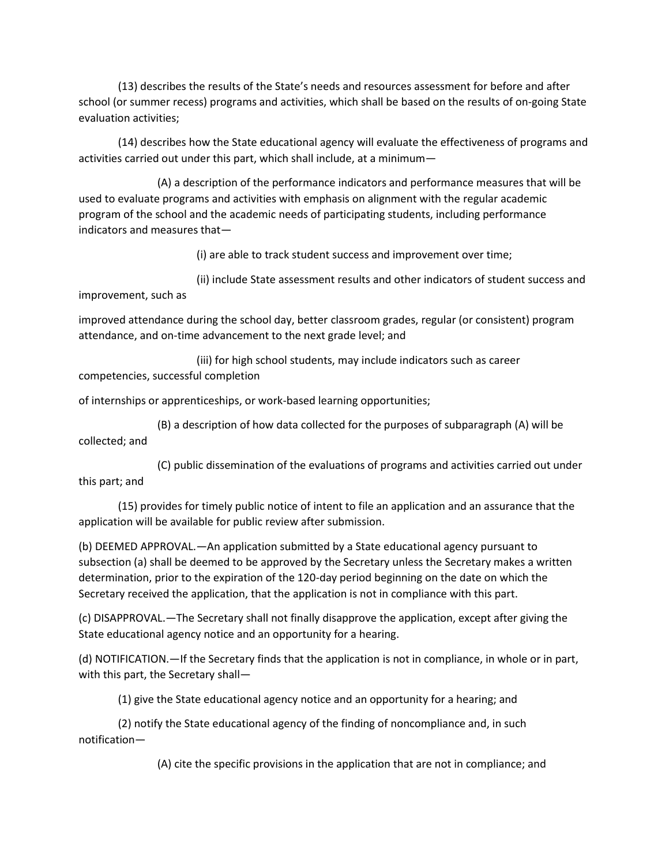(13) describes the results of the State's needs and resources assessment for before and after school (or summer recess) programs and activities, which shall be based on the results of on-going State evaluation activities;

(14) describes how the State educational agency will evaluate the effectiveness of programs and activities carried out under this part, which shall include, at a minimum—

(A) a description of the performance indicators and performance measures that will be used to evaluate programs and activities with emphasis on alignment with the regular academic program of the school and the academic needs of participating students, including performance indicators and measures that—

(i) are able to track student success and improvement over time;

(ii) include State assessment results and other indicators of student success and improvement, such as

improved attendance during the school day, better classroom grades, regular (or consistent) program attendance, and on-time advancement to the next grade level; and

(iii) for high school students, may include indicators such as career competencies, successful completion

of internships or apprenticeships, or work-based learning opportunities;

(B) a description of how data collected for the purposes of subparagraph (A) will be collected; and

(C) public dissemination of the evaluations of programs and activities carried out under this part; and

(15) provides for timely public notice of intent to file an application and an assurance that the application will be available for public review after submission.

(b) DEEMED APPROVAL.—An application submitted by a State educational agency pursuant to subsection (a) shall be deemed to be approved by the Secretary unless the Secretary makes a written determination, prior to the expiration of the 120-day period beginning on the date on which the Secretary received the application, that the application is not in compliance with this part.

(c) DISAPPROVAL.—The Secretary shall not finally disapprove the application, except after giving the State educational agency notice and an opportunity for a hearing.

(d) NOTIFICATION.—If the Secretary finds that the application is not in compliance, in whole or in part, with this part, the Secretary shall—

(1) give the State educational agency notice and an opportunity for a hearing; and

(2) notify the State educational agency of the finding of noncompliance and, in such notification—

(A) cite the specific provisions in the application that are not in compliance; and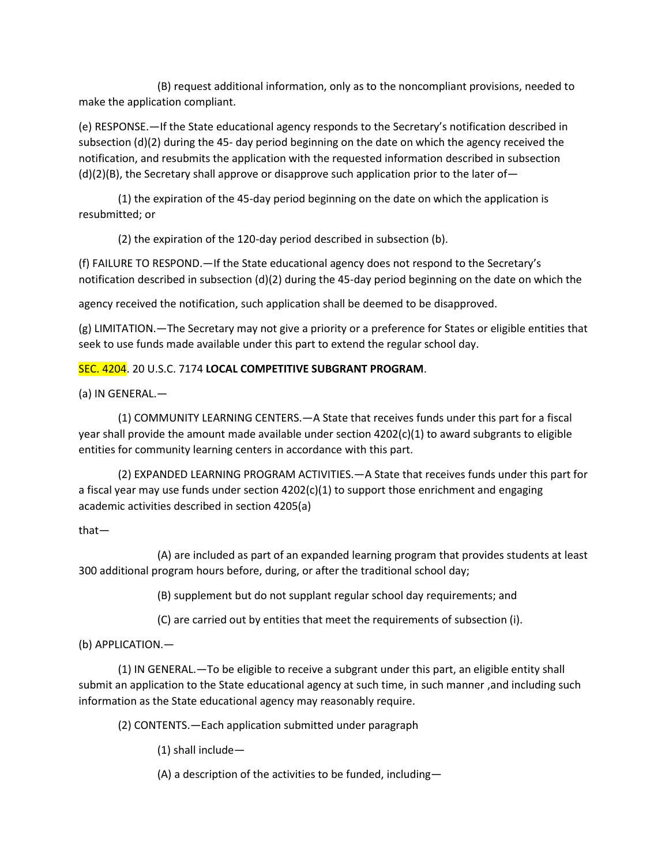(B) request additional information, only as to the noncompliant provisions, needed to make the application compliant.

(e) RESPONSE.—If the State educational agency responds to the Secretary's notification described in subsection (d)(2) during the 45- day period beginning on the date on which the agency received the notification, and resubmits the application with the requested information described in subsection  $(d)(2)(B)$ , the Secretary shall approve or disapprove such application prior to the later of -

(1) the expiration of the 45-day period beginning on the date on which the application is resubmitted; or

(2) the expiration of the 120-day period described in subsection (b).

(f) FAILURE TO RESPOND.—If the State educational agency does not respond to the Secretary's notification described in subsection (d)(2) during the 45-day period beginning on the date on which the

agency received the notification, such application shall be deemed to be disapproved.

(g) LIMITATION.—The Secretary may not give a priority or a preference for States or eligible entities that seek to use funds made available under this part to extend the regular school day.

## SEC. 4204. 20 U.S.C. 7174 **LOCAL COMPETITIVE SUBGRANT PROGRAM**.

(a) IN GENERAL.—

(1) COMMUNITY LEARNING CENTERS.—A State that receives funds under this part for a fiscal year shall provide the amount made available under section 4202(c)(1) to award subgrants to eligible entities for community learning centers in accordance with this part.

(2) EXPANDED LEARNING PROGRAM ACTIVITIES.—A State that receives funds under this part for a fiscal year may use funds under section  $4202(c)(1)$  to support those enrichment and engaging academic activities described in section 4205(a)

that—

(A) are included as part of an expanded learning program that provides students at least 300 additional program hours before, during, or after the traditional school day;

(B) supplement but do not supplant regular school day requirements; and

(C) are carried out by entities that meet the requirements of subsection (i).

## (b) APPLICATION.—

(1) IN GENERAL.—To be eligible to receive a subgrant under this part, an eligible entity shall submit an application to the State educational agency at such time, in such manner ,and including such information as the State educational agency may reasonably require.

(2) CONTENTS.—Each application submitted under paragraph

(1) shall include—

(A) a description of the activities to be funded, including—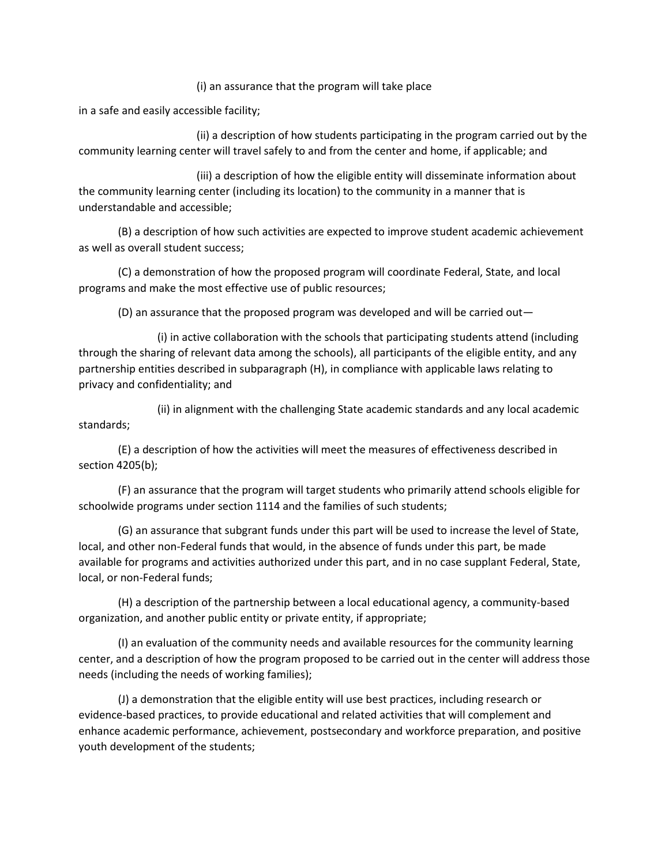### (i) an assurance that the program will take place

in a safe and easily accessible facility;

(ii) a description of how students participating in the program carried out by the community learning center will travel safely to and from the center and home, if applicable; and

(iii) a description of how the eligible entity will disseminate information about the community learning center (including its location) to the community in a manner that is understandable and accessible;

(B) a description of how such activities are expected to improve student academic achievement as well as overall student success;

(C) a demonstration of how the proposed program will coordinate Federal, State, and local programs and make the most effective use of public resources;

(D) an assurance that the proposed program was developed and will be carried out—

(i) in active collaboration with the schools that participating students attend (including through the sharing of relevant data among the schools), all participants of the eligible entity, and any partnership entities described in subparagraph (H), in compliance with applicable laws relating to privacy and confidentiality; and

(ii) in alignment with the challenging State academic standards and any local academic standards;

(E) a description of how the activities will meet the measures of effectiveness described in section 4205(b);

(F) an assurance that the program will target students who primarily attend schools eligible for schoolwide programs under section 1114 and the families of such students;

(G) an assurance that subgrant funds under this part will be used to increase the level of State, local, and other non-Federal funds that would, in the absence of funds under this part, be made available for programs and activities authorized under this part, and in no case supplant Federal, State, local, or non-Federal funds;

(H) a description of the partnership between a local educational agency, a community-based organization, and another public entity or private entity, if appropriate;

(I) an evaluation of the community needs and available resources for the community learning center, and a description of how the program proposed to be carried out in the center will address those needs (including the needs of working families);

(J) a demonstration that the eligible entity will use best practices, including research or evidence-based practices, to provide educational and related activities that will complement and enhance academic performance, achievement, postsecondary and workforce preparation, and positive youth development of the students;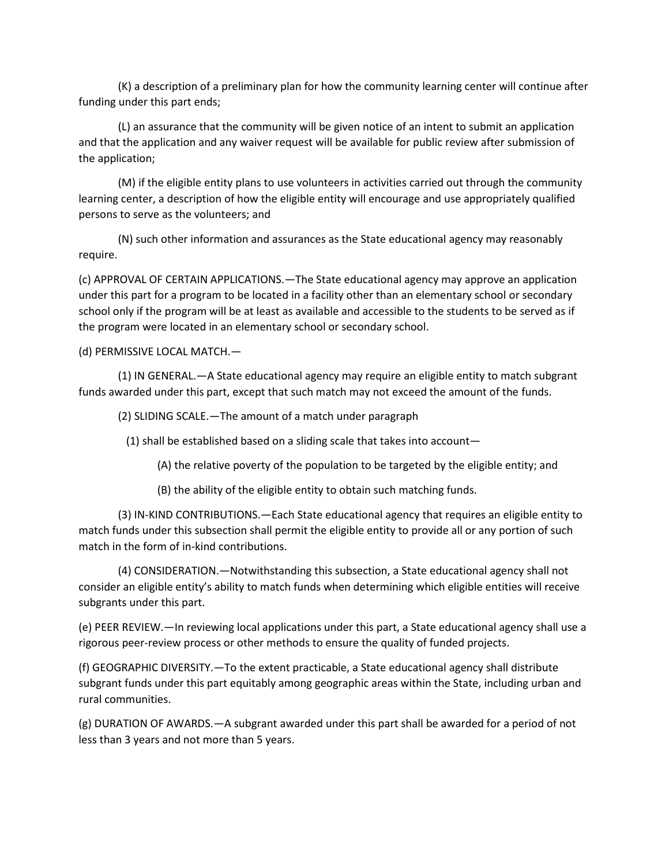(K) a description of a preliminary plan for how the community learning center will continue after funding under this part ends;

(L) an assurance that the community will be given notice of an intent to submit an application and that the application and any waiver request will be available for public review after submission of the application;

(M) if the eligible entity plans to use volunteers in activities carried out through the community learning center, a description of how the eligible entity will encourage and use appropriately qualified persons to serve as the volunteers; and

(N) such other information and assurances as the State educational agency may reasonably require.

(c) APPROVAL OF CERTAIN APPLICATIONS.—The State educational agency may approve an application under this part for a program to be located in a facility other than an elementary school or secondary school only if the program will be at least as available and accessible to the students to be served as if the program were located in an elementary school or secondary school.

(d) PERMISSIVE LOCAL MATCH.—

(1) IN GENERAL.—A State educational agency may require an eligible entity to match subgrant funds awarded under this part, except that such match may not exceed the amount of the funds.

(2) SLIDING SCALE.—The amount of a match under paragraph

(1) shall be established based on a sliding scale that takes into account—

(A) the relative poverty of the population to be targeted by the eligible entity; and

(B) the ability of the eligible entity to obtain such matching funds.

(3) IN-KIND CONTRIBUTIONS.—Each State educational agency that requires an eligible entity to match funds under this subsection shall permit the eligible entity to provide all or any portion of such match in the form of in-kind contributions.

(4) CONSIDERATION.—Notwithstanding this subsection, a State educational agency shall not consider an eligible entity's ability to match funds when determining which eligible entities will receive subgrants under this part.

(e) PEER REVIEW.—In reviewing local applications under this part, a State educational agency shall use a rigorous peer-review process or other methods to ensure the quality of funded projects.

(f) GEOGRAPHIC DIVERSITY.—To the extent practicable, a State educational agency shall distribute subgrant funds under this part equitably among geographic areas within the State, including urban and rural communities.

(g) DURATION OF AWARDS.—A subgrant awarded under this part shall be awarded for a period of not less than 3 years and not more than 5 years.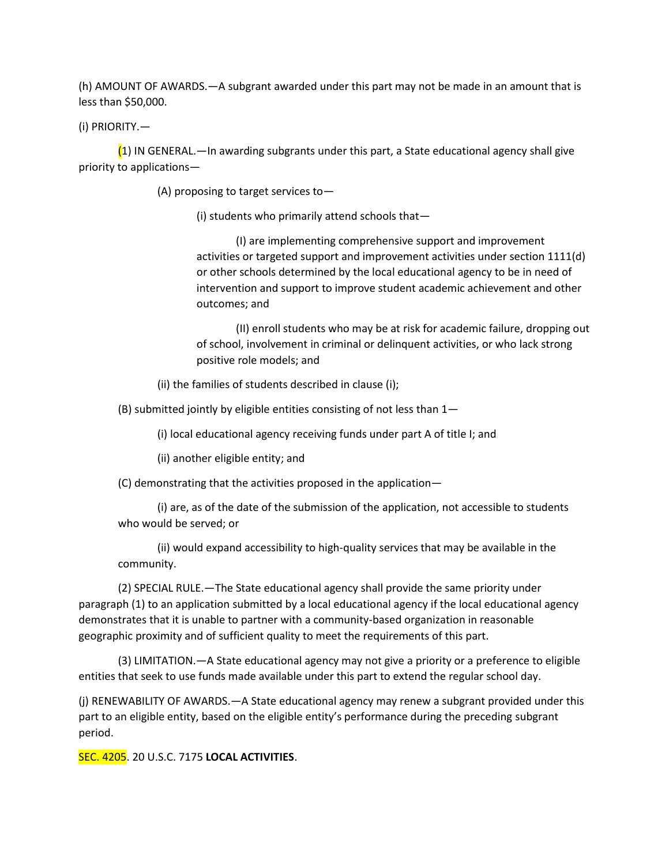(h) AMOUNT OF AWARDS.—A subgrant awarded under this part may not be made in an amount that is less than \$50,000.

(i) PRIORITY.—

 $(1)$  IN GENERAL.—In awarding subgrants under this part, a State educational agency shall give priority to applications—

(A) proposing to target services to—

(i) students who primarily attend schools that—

(I) are implementing comprehensive support and improvement activities or targeted support and improvement activities under section 1111(d) or other schools determined by the local educational agency to be in need of intervention and support to improve student academic achievement and other outcomes; and

(II) enroll students who may be at risk for academic failure, dropping out of school, involvement in criminal or delinquent activities, or who lack strong positive role models; and

(ii) the families of students described in clause (i);

(B) submitted jointly by eligible entities consisting of not less than 1—

(i) local educational agency receiving funds under part A of title I; and

(ii) another eligible entity; and

(C) demonstrating that the activities proposed in the application—

(i) are, as of the date of the submission of the application, not accessible to students who would be served; or

(ii) would expand accessibility to high-quality services that may be available in the community.

(2) SPECIAL RULE.—The State educational agency shall provide the same priority under paragraph (1) to an application submitted by a local educational agency if the local educational agency demonstrates that it is unable to partner with a community-based organization in reasonable geographic proximity and of sufficient quality to meet the requirements of this part.

(3) LIMITATION.—A State educational agency may not give a priority or a preference to eligible entities that seek to use funds made available under this part to extend the regular school day.

(j) RENEWABILITY OF AWARDS.—A State educational agency may renew a subgrant provided under this part to an eligible entity, based on the eligible entity's performance during the preceding subgrant period.

SEC. 4205. 20 U.S.C. 7175 **LOCAL ACTIVITIES**.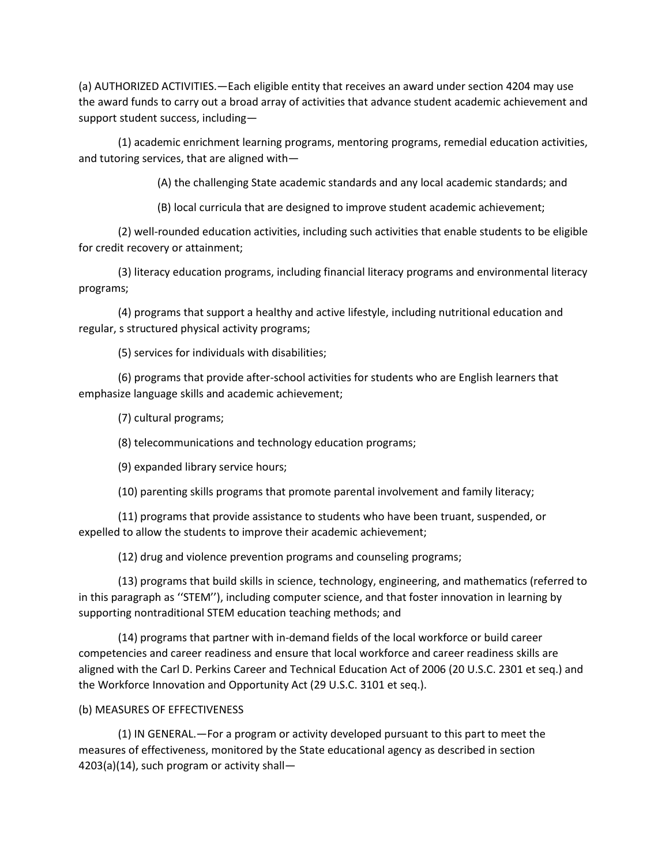(a) AUTHORIZED ACTIVITIES.—Each eligible entity that receives an award under section 4204 may use the award funds to carry out a broad array of activities that advance student academic achievement and support student success, including—

(1) academic enrichment learning programs, mentoring programs, remedial education activities, and tutoring services, that are aligned with—

(A) the challenging State academic standards and any local academic standards; and

(B) local curricula that are designed to improve student academic achievement;

(2) well-rounded education activities, including such activities that enable students to be eligible for credit recovery or attainment;

(3) literacy education programs, including financial literacy programs and environmental literacy programs;

(4) programs that support a healthy and active lifestyle, including nutritional education and regular, s structured physical activity programs;

(5) services for individuals with disabilities;

(6) programs that provide after-school activities for students who are English learners that emphasize language skills and academic achievement;

(7) cultural programs;

(8) telecommunications and technology education programs;

(9) expanded library service hours;

(10) parenting skills programs that promote parental involvement and family literacy;

(11) programs that provide assistance to students who have been truant, suspended, or expelled to allow the students to improve their academic achievement;

(12) drug and violence prevention programs and counseling programs;

(13) programs that build skills in science, technology, engineering, and mathematics (referred to in this paragraph as ''STEM''), including computer science, and that foster innovation in learning by supporting nontraditional STEM education teaching methods; and

(14) programs that partner with in-demand fields of the local workforce or build career competencies and career readiness and ensure that local workforce and career readiness skills are aligned with the Carl D. Perkins Career and Technical Education Act of 2006 (20 U.S.C. 2301 et seq.) and the Workforce Innovation and Opportunity Act (29 U.S.C. 3101 et seq.).

### (b) MEASURES OF EFFECTIVENESS

(1) IN GENERAL.—For a program or activity developed pursuant to this part to meet the measures of effectiveness, monitored by the State educational agency as described in section 4203(a)(14), such program or activity shall—